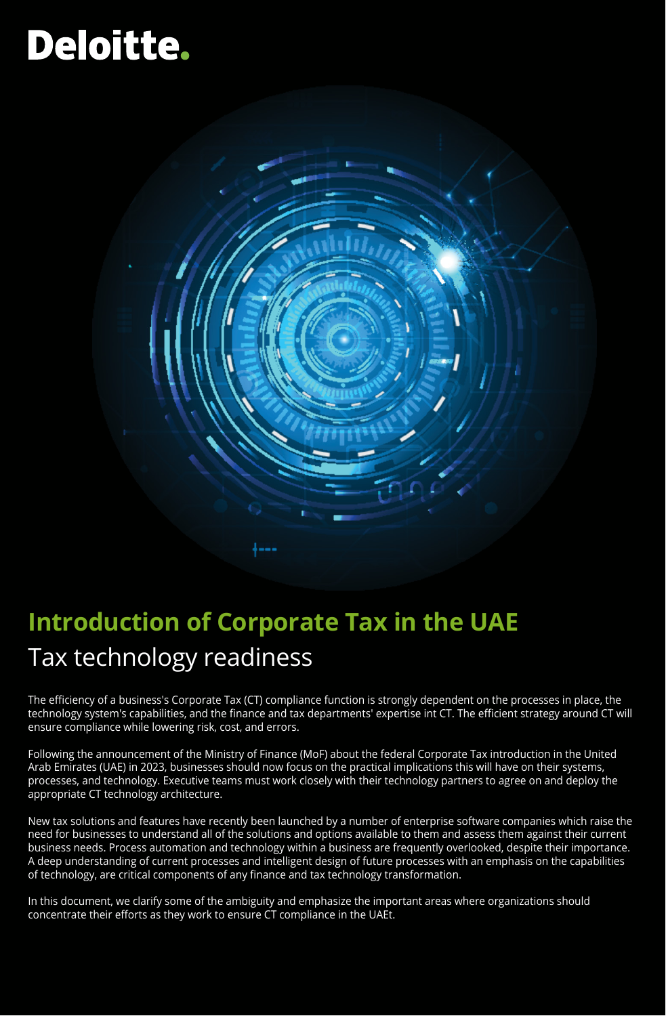# **Deloitte.**



# **Introduction of Corporate Tax in the UAE** Tax technology readiness

The efficiency of a business's Corporate Tax (CT) compliance function is strongly dependent on the processes in place, the technology system's capabilities, and the finance and tax departments' expertise int CT. The efficient strategy around CT will ensure compliance while lowering risk, cost, and errors.

Following the announcement of the Ministry of Finance (MoF) about the federal Corporate Tax introduction in the United Arab Emirates (UAE) in 2023, businesses should now focus on the practical implications this will have on their systems, processes, and technology. Executive teams must work closely with their technology partners to agree on and deploy the appropriate CT technology architecture.

New tax solutions and features have recently been launched by a number of enterprise software companies which raise the need for businesses to understand all of the solutions and options available to them and assess them against their current business needs. Process automation and technology within a business are frequently overlooked, despite their importance. A deep understanding of current processes and intelligent design of future processes with an emphasis on the capabilities of technology, are critical components of any finance and tax technology transformation.

In this document, we clarify some of the ambiguity and emphasize the important areas where organizations should concentrate their efforts as they work to ensure CT compliance in the UAEt.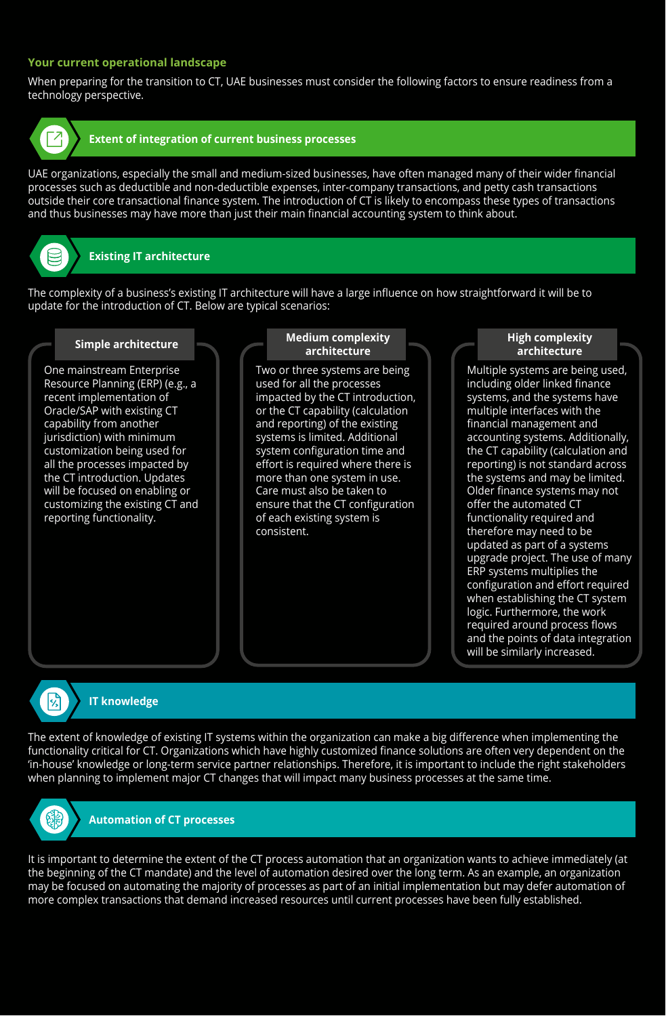# **Your current operational landscape**

When preparing for the transition to CT, UAE businesses must consider the following factors to ensure readiness from a technology perspective.



#### **Extent of integration of current business processes**

UAE organizations, especially the small and medium-sized businesses, have often managed many of their wider financial processes such as deductible and non-deductible expenses, inter-company transactions, and petty cash transactions outside their core transactional finance system. The introduction of CT is likely to encompass these types of transactions and thus businesses may have more than just their main financial accounting system to think about.

# **Existing IT architecture**

The complexity of a business's existing IT architecture will have a large influence on how straightforward it will be to update for the introduction of CT. Below are typical scenarios:

#### **Simple architecture**

One mainstream Enterprise Resource Planning (ERP) (e.g., a recent implementation of Oracle/SAP with existing CT capability from another jurisdiction) with minimum customization being used for all the processes impacted by the CT introduction. Updates will be focused on enabling or customizing the existing CT and reporting functionality.

#### **Medium complexity architecture**

Two or three systems are being used for all the processes impacted by the CT introduction, or the CT capability (calculation and reporting) of the existing systems is limited. Additional system configuration time and effort is required where there is more than one system in use. Care must also be taken to ensure that the CT configuration of each existing system is consistent.

#### **High complexity architecture**

Multiple systems are being used, including older linked finance systems, and the systems have multiple interfaces with the financial management and accounting systems. Additionally, the CT capability (calculation and reporting) is not standard across the systems and may be limited. Older finance systems may not offer the automated CT functionality required and therefore may need to be updated as part of a systems upgrade project. The use of many ERP systems multiplies the configuration and effort required when establishing the CT system logic. Furthermore, the work required around process flows and the points of data integration will be similarly increased.



#### **IT knowledge**

The extent of knowledge of existing IT systems within the organization can make a big difference when implementing the functionality critical for CT. Organizations which have highly customized finance solutions are often very dependent on the 'in-house' knowledge or long-term service partner relationships. Therefore, it is important to include the right stakeholders when planning to implement major CT changes that will impact many business processes at the same time.



# **Automation of CT processes**

It is important to determine the extent of the CT process automation that an organization wants to achieve immediately (at the beginning of the CT mandate) and the level of automation desired over the long term. As an example, an organization may be focused on automating the majority of processes as part of an initial implementation but may defer automation of more complex transactions that demand increased resources until current processes have been fully established.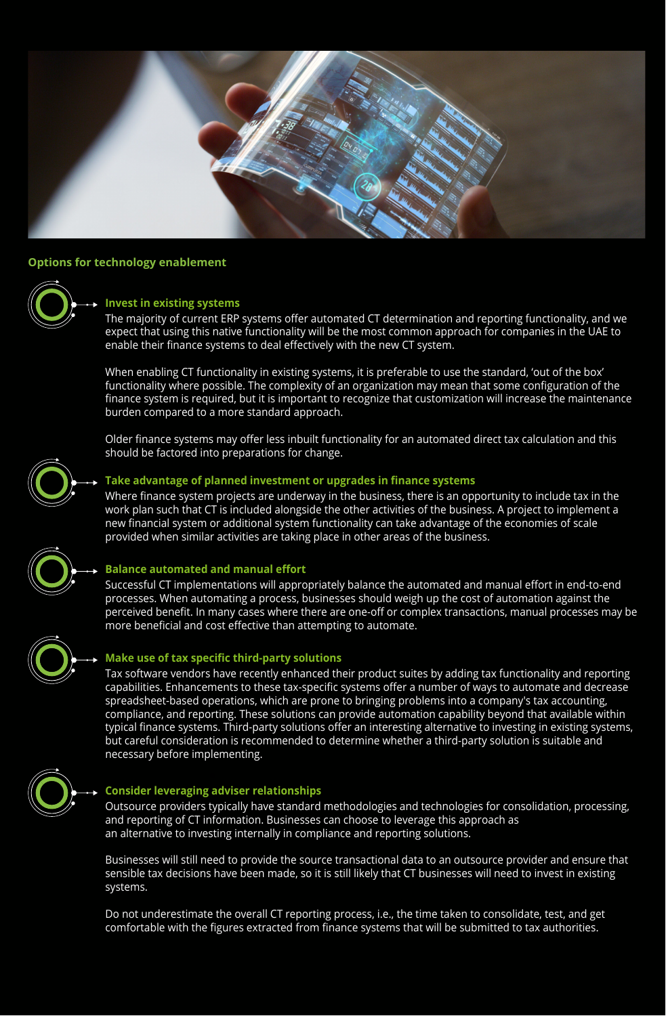

#### **Options for technology enablement**



# **Invest in existing systems**

The majority of current ERP systems offer automated CT determination and reporting functionality, and we expect that using this native functionality will be the most common approach for companies in the UAE to enable their finance systems to deal effectively with the new CT system.

When enabling CT functionality in existing systems, it is preferable to use the standard, 'out of the box' functionality where possible. The complexity of an organization may mean that some configuration of the finance system is required, but it is important to recognize that customization will increase the maintenance burden compared to a more standard approach.

Older finance systems may offer less inbuilt functionality for an automated direct tax calculation and this should be factored into preparations for change.



#### **Take advantage of planned investment or upgrades in finance systems**

Where finance system projects are underway in the business, there is an opportunity to include tax in the work plan such that CT is included alongside the other activities of the business. A project to implement a new financial system or additional system functionality can take advantage of the economies of scale provided when similar activities are taking place in other areas of the business.

#### **Balance automated and manual effort**

Successful CT implementations will appropriately balance the automated and manual effort in end-to-end processes. When automating a process, businesses should weigh up the cost of automation against the perceived benefit. In many cases where there are one-off or complex transactions, manual processes may be more beneficial and cost effective than attempting to automate.



#### **Make use of tax specific third-party solutions**

Tax software vendors have recently enhanced their product suites by adding tax functionality and reporting capabilities. Enhancements to these tax-specific systems offer a number of ways to automate and decrease spreadsheet-based operations, which are prone to bringing problems into a company's tax accounting, compliance, and reporting. These solutions can provide automation capability beyond that available within typical finance systems. Third-party solutions offer an interesting alternative to investing in existing systems, but careful consideration is recommended to determine whether a third-party solution is suitable and necessary before implementing.



#### **Consider leveraging adviser relationships**

Outsource providers typically have standard methodologies and technologies for consolidation, processing, and reporting of CT information. Businesses can choose to leverage this approach as an alternative to investing internally in compliance and reporting solutions.

Businesses will still need to provide the source transactional data to an outsource provider and ensure that sensible tax decisions have been made, so it is still likely that CT businesses will need to invest in existing systems.

Do not underestimate the overall CT reporting process, i.e., the time taken to consolidate, test, and get comfortable with the figures extracted from finance systems that will be submitted to tax authorities.